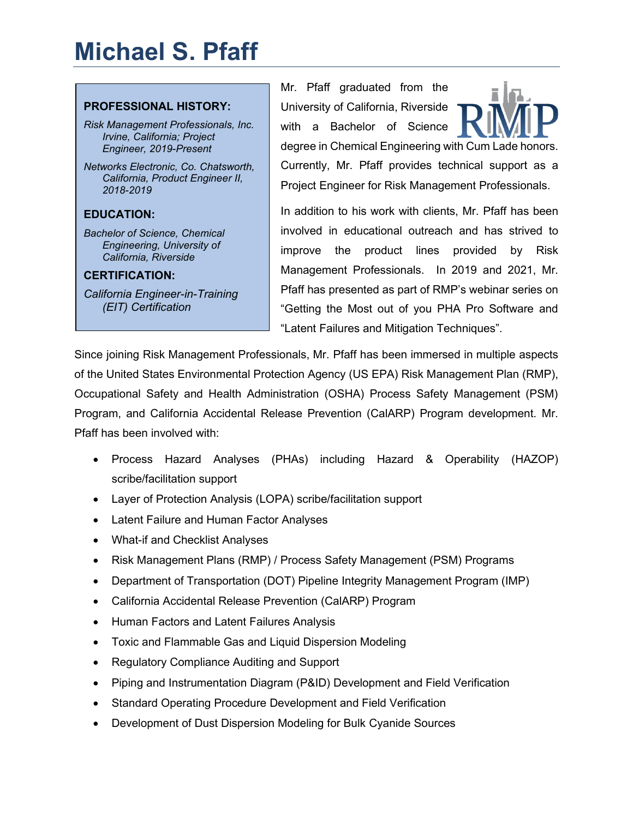# **Michael S. Pfaff**

#### **PROFESSIONAL HISTORY:**

*Risk Management Professionals, Inc. Irvine, California; Project Engineer, 2019-Present*

*Networks Electronic, Co. Chatsworth, California, Product Engineer II, 2018-2019* 

## **EDUCATION:**

*Bachelor of Science, Chemical Engineering, University of California, Riverside*

#### **CERTIFICATION:**

*California Engineer-in-Training (EIT) Certification*

Mr. Pfaff graduated from the University of California, Riverside with a Bachelor of Science



degree in Chemical Engineering with Cum Lade honors. Currently, Mr. Pfaff provides technical support as a Project Engineer for Risk Management Professionals.

In addition to his work with clients, Mr. Pfaff has been involved in educational outreach and has strived to improve the product lines provided by Risk Management Professionals. In 2019 and 2021, Mr. Pfaff has presented as part of RMP's webinar series on "Getting the Most out of you PHA Pro Software and "Latent Failures and Mitigation Techniques".

Since joining Risk Management Professionals, Mr. Pfaff has been immersed in multiple aspects of the United States Environmental Protection Agency (US EPA) Risk Management Plan (RMP), Occupational Safety and Health Administration (OSHA) Process Safety Management (PSM) Program, and California Accidental Release Prevention (CalARP) Program development. Mr. Pfaff has been involved with:

- Process Hazard Analyses (PHAs) including Hazard & Operability (HAZOP) scribe/facilitation support
- Layer of Protection Analysis (LOPA) scribe/facilitation support
- Latent Failure and Human Factor Analyses
- What-if and Checklist Analyses
- Risk Management Plans (RMP) / Process Safety Management (PSM) Programs
- Department of Transportation (DOT) Pipeline Integrity Management Program (IMP)
- California Accidental Release Prevention (CalARP) Program
- Human Factors and Latent Failures Analysis
- Toxic and Flammable Gas and Liquid Dispersion Modeling
- Regulatory Compliance Auditing and Support
- Piping and Instrumentation Diagram (P&ID) Development and Field Verification
- Standard Operating Procedure Development and Field Verification
- Development of Dust Dispersion Modeling for Bulk Cyanide Sources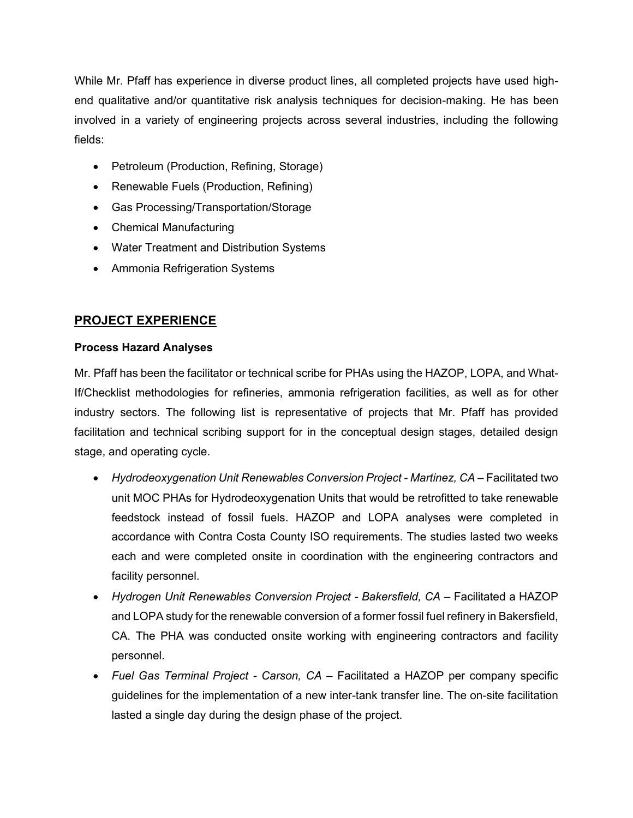While Mr. Pfaff has experience in diverse product lines, all completed projects have used highend qualitative and/or quantitative risk analysis techniques for decision-making. He has been involved in a variety of engineering projects across several industries, including the following fields:

- Petroleum (Production, Refining, Storage)
- Renewable Fuels (Production, Refining)
- Gas Processing/Transportation/Storage
- Chemical Manufacturing
- Water Treatment and Distribution Systems
- Ammonia Refrigeration Systems

# **PROJECT EXPERIENCE**

#### **Process Hazard Analyses**

Mr. Pfaff has been the facilitator or technical scribe for PHAs using the HAZOP, LOPA, and What-If/Checklist methodologies for refineries, ammonia refrigeration facilities, as well as for other industry sectors. The following list is representative of projects that Mr. Pfaff has provided facilitation and technical scribing support for in the conceptual design stages, detailed design stage, and operating cycle.

- *Hydrodeoxygenation Unit Renewables Conversion Project - Martinez, CA* Facilitated two unit MOC PHAs for Hydrodeoxygenation Units that would be retrofitted to take renewable feedstock instead of fossil fuels. HAZOP and LOPA analyses were completed in accordance with Contra Costa County ISO requirements. The studies lasted two weeks each and were completed onsite in coordination with the engineering contractors and facility personnel.
- *Hydrogen Unit Renewables Conversion Project - Bakersfield, CA* Facilitated a HAZOP and LOPA study for the renewable conversion of a former fossil fuel refinery in Bakersfield, CA. The PHA was conducted onsite working with engineering contractors and facility personnel.
- *Fuel Gas Terminal Project - Carson, CA* Facilitated a HAZOP per company specific guidelines for the implementation of a new inter-tank transfer line. The on-site facilitation lasted a single day during the design phase of the project.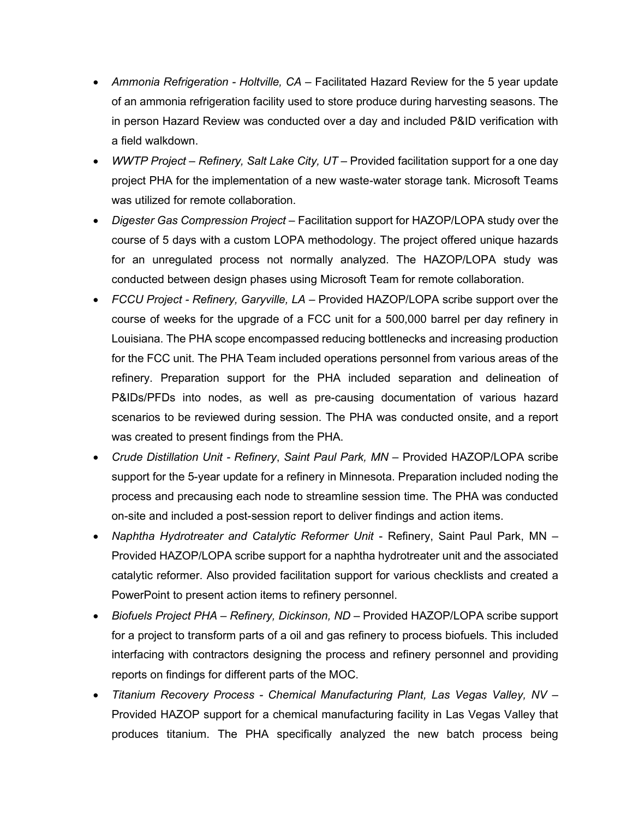- Ammonia Refrigeration Holtville, CA Facilitated Hazard Review for the 5 year update of an ammonia refrigeration facility used to store produce during harvesting seasons. The in person Hazard Review was conducted over a day and included P&ID verification with a field walkdown.
- *WWTP Project – Refinery, Salt Lake City, UT –* Provided facilitation support for a one day project PHA for the implementation of a new waste-water storage tank. Microsoft Teams was utilized for remote collaboration.
- *Digester Gas Compression Project –* Facilitation support for HAZOP/LOPA study over the course of 5 days with a custom LOPA methodology. The project offered unique hazards for an unregulated process not normally analyzed. The HAZOP/LOPA study was conducted between design phases using Microsoft Team for remote collaboration.
- *FCCU Project - Refinery, Garyville, LA –* Provided HAZOP/LOPA scribe support over the course of weeks for the upgrade of a FCC unit for a 500,000 barrel per day refinery in Louisiana. The PHA scope encompassed reducing bottlenecks and increasing production for the FCC unit. The PHA Team included operations personnel from various areas of the refinery. Preparation support for the PHA included separation and delineation of P&IDs/PFDs into nodes, as well as pre-causing documentation of various hazard scenarios to be reviewed during session. The PHA was conducted onsite, and a report was created to present findings from the PHA.
- *Crude Distillation Unit - Refinery*, *Saint Paul Park, MN*  Provided HAZOP/LOPA scribe support for the 5-year update for a refinery in Minnesota. Preparation included noding the process and precausing each node to streamline session time. The PHA was conducted on-site and included a post-session report to deliver findings and action items.
- *Naphtha Hydrotreater and Catalytic Reformer Unit* Refinery, Saint Paul Park, MN Provided HAZOP/LOPA scribe support for a naphtha hydrotreater unit and the associated catalytic reformer. Also provided facilitation support for various checklists and created a PowerPoint to present action items to refinery personnel.
- *Biofuels Project PHA – Refinery, Dickinson, ND –* Provided HAZOP/LOPA scribe support for a project to transform parts of a oil and gas refinery to process biofuels. This included interfacing with contractors designing the process and refinery personnel and providing reports on findings for different parts of the MOC.
- *Titanium Recovery Process - Chemical Manufacturing Plant, Las Vegas Valley, NV –* Provided HAZOP support for a chemical manufacturing facility in Las Vegas Valley that produces titanium. The PHA specifically analyzed the new batch process being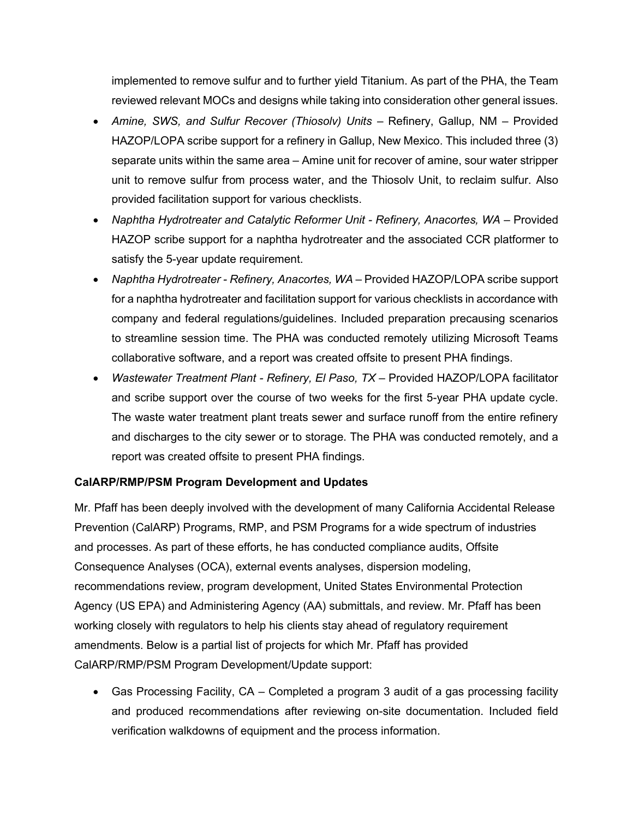implemented to remove sulfur and to further yield Titanium. As part of the PHA, the Team reviewed relevant MOCs and designs while taking into consideration other general issues.

- *Amine, SWS, and Sulfur Recover (Thiosolv) Units Refinery, Gallup, NM Provided* HAZOP/LOPA scribe support for a refinery in Gallup, New Mexico. This included three (3) separate units within the same area – Amine unit for recover of amine, sour water stripper unit to remove sulfur from process water, and the Thiosolv Unit, to reclaim sulfur. Also provided facilitation support for various checklists.
- *Naphtha Hydrotreater and Catalytic Reformer Unit - Refinery, Anacortes, WA –* Provided HAZOP scribe support for a naphtha hydrotreater and the associated CCR platformer to satisfy the 5-year update requirement.
- Naphtha Hydrotreater Refinery, Anacortes, WA Provided HAZOP/LOPA scribe support for a naphtha hydrotreater and facilitation support for various checklists in accordance with company and federal regulations/guidelines. Included preparation precausing scenarios to streamline session time. The PHA was conducted remotely utilizing Microsoft Teams collaborative software, and a report was created offsite to present PHA findings.
- *Wastewater Treatment Plant - Refinery, El Paso, TX* Provided HAZOP/LOPA facilitator and scribe support over the course of two weeks for the first 5-year PHA update cycle. The waste water treatment plant treats sewer and surface runoff from the entire refinery and discharges to the city sewer or to storage. The PHA was conducted remotely, and a report was created offsite to present PHA findings.

## **CalARP/RMP/PSM Program Development and Updates**

Mr. Pfaff has been deeply involved with the development of many California Accidental Release Prevention (CalARP) Programs, RMP, and PSM Programs for a wide spectrum of industries and processes. As part of these efforts, he has conducted compliance audits, Offsite Consequence Analyses (OCA), external events analyses, dispersion modeling, recommendations review, program development, United States Environmental Protection Agency (US EPA) and Administering Agency (AA) submittals, and review. Mr. Pfaff has been working closely with regulators to help his clients stay ahead of regulatory requirement amendments. Below is a partial list of projects for which Mr. Pfaff has provided CalARP/RMP/PSM Program Development/Update support:

• Gas Processing Facility, CA – Completed a program 3 audit of a gas processing facility and produced recommendations after reviewing on-site documentation. Included field verification walkdowns of equipment and the process information.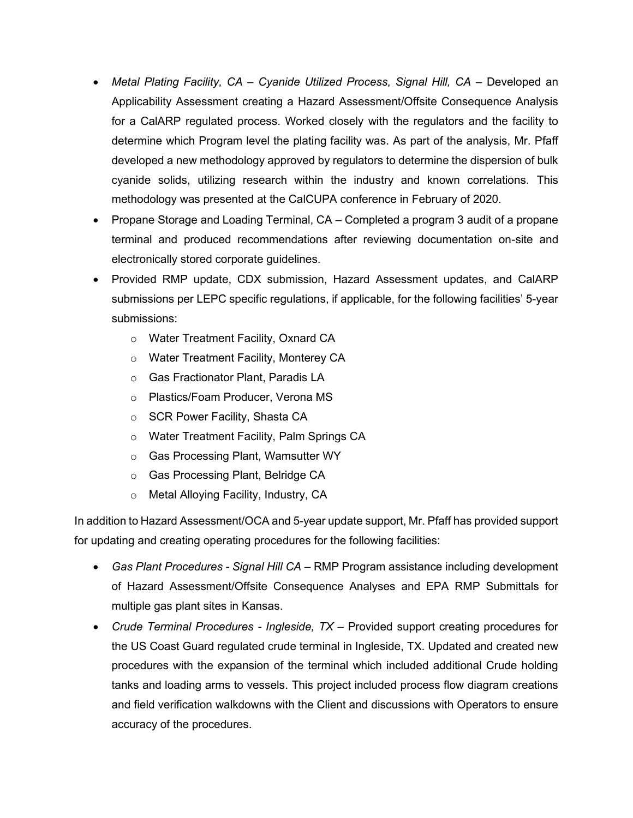- *Metal Plating Facility, CA – Cyanide Utilized Process, Signal Hill, CA –* Developed an Applicability Assessment creating a Hazard Assessment/Offsite Consequence Analysis for a CalARP regulated process. Worked closely with the regulators and the facility to determine which Program level the plating facility was. As part of the analysis, Mr. Pfaff developed a new methodology approved by regulators to determine the dispersion of bulk cyanide solids, utilizing research within the industry and known correlations. This methodology was presented at the CalCUPA conference in February of 2020.
- Propane Storage and Loading Terminal, CA Completed a program 3 audit of a propane terminal and produced recommendations after reviewing documentation on-site and electronically stored corporate guidelines.
- Provided RMP update, CDX submission, Hazard Assessment updates, and CalARP submissions per LEPC specific regulations, if applicable, for the following facilities' 5-year submissions:
	- o Water Treatment Facility, Oxnard CA
	- o Water Treatment Facility, Monterey CA
	- o Gas Fractionator Plant, Paradis LA
	- o Plastics/Foam Producer, Verona MS
	- o SCR Power Facility, Shasta CA
	- o Water Treatment Facility, Palm Springs CA
	- o Gas Processing Plant, Wamsutter WY
	- o Gas Processing Plant, Belridge CA
	- o Metal Alloying Facility, Industry, CA

In addition to Hazard Assessment/OCA and 5-year update support, Mr. Pfaff has provided support for updating and creating operating procedures for the following facilities:

- *Gas Plant Procedures - Signal Hill CA –* RMP Program assistance including development of Hazard Assessment/Offsite Consequence Analyses and EPA RMP Submittals for multiple gas plant sites in Kansas.
- *Crude Terminal Procedures - Ingleside, TX –* Provided support creating procedures for the US Coast Guard regulated crude terminal in Ingleside, TX. Updated and created new procedures with the expansion of the terminal which included additional Crude holding tanks and loading arms to vessels. This project included process flow diagram creations and field verification walkdowns with the Client and discussions with Operators to ensure accuracy of the procedures.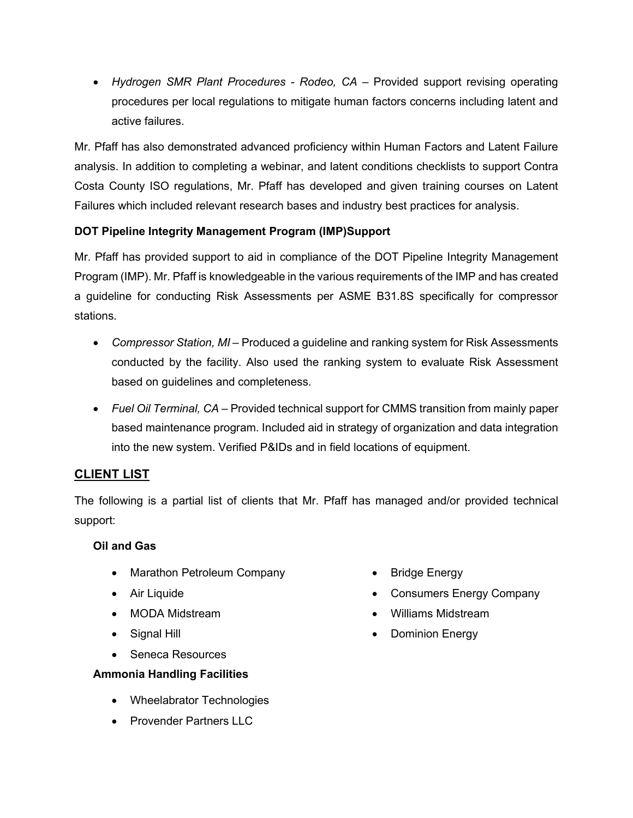• *Hydrogen SMR Plant Procedures - Rodeo, CA* – Provided support revising operating procedures per local regulations to mitigate human factors concerns including latent and active failures.

Mr. Pfaff has also demonstrated advanced proficiency within Human Factors and Latent Failure analysis. In addition to completing a webinar, and latent conditions checklists to support Contra Costa County ISO regulations, Mr. Pfaff has developed and given training courses on Latent Failures which included relevant research bases and industry best practices for analysis.

## **DOT Pipeline Integrity Management Program (IMP)Support**

Mr. Pfaff has provided support to aid in compliance of the DOT Pipeline Integrity Management Program (IMP). Mr. Pfaff is knowledgeable in the various requirements of the IMP and has created a guideline for conducting Risk Assessments per ASME B31.8S specifically for compressor stations.

- *Compressor Station, MI –* Produced a guideline and ranking system for Risk Assessments conducted by the facility. Also used the ranking system to evaluate Risk Assessment based on guidelines and completeness.
- *Fuel Oil Terminal, CA*  Provided technical support for CMMS transition from mainly paper based maintenance program. Included aid in strategy of organization and data integration into the new system. Verified P&IDs and in field locations of equipment.

# **CLIENT LIST**

The following is a partial list of clients that Mr. Pfaff has managed and/or provided technical support:

## **Oil and Gas**

- Marathon Petroleum Company
- Air Liquide
- MODA Midstream
- Signal Hill
- Seneca Resources

# **Ammonia Handling Facilities**

- Wheelabrator Technologies
- Provender Partners LLC
- Bridge Energy
- Consumers Energy Company
- Williams Midstream
- **Dominion Energy**